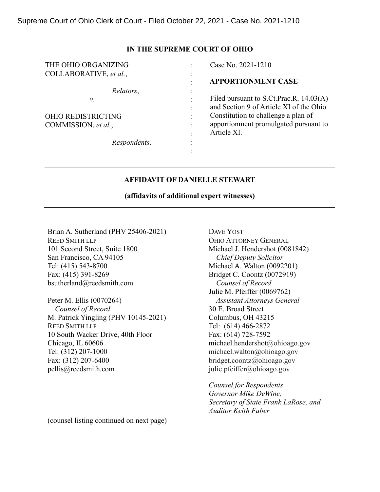### **IN THE SUPREME COURT OF OHIO**

| THE OHIO ORGANIZING       |                        | Case No. 2021-1210                                                                 |
|---------------------------|------------------------|------------------------------------------------------------------------------------|
| COLLABORATIVE, et al.,    | $\bullet$<br>$\bullet$ |                                                                                    |
|                           | $\bullet$              | <b>APPORTIONMENT CASE</b>                                                          |
| Relators,                 |                        |                                                                                    |
| ν.                        | $\bullet$              | Filed pursuant to S.Ct.Prac.R. 14.03(A)<br>and Section 9 of Article XI of the Ohio |
| <b>OHIO REDISTRICTING</b> | $\bullet$              | Constitution to challenge a plan of                                                |
| COMMISSION, et al.,       | $\bullet$              | apportionment promulgated pursuant to<br>Article XI.                               |
| Respondents.              | $\bullet$              |                                                                                    |
|                           |                        |                                                                                    |

## **AFFIDAVIT OF DANIELLE STEWART**

## **(affidavits of additional expert witnesses)**

Brian A. Sutherland (PHV 25406-2021) REED SMITH LLP 101 Second Street, Suite 1800 San Francisco, CA 94105 Tel: (415) 543-8700 Fax: (415) 391-8269 bsutherland@reedsmith.com

Peter M. Ellis (0070264)  *Counsel of Record* M. Patrick Yingling (PHV 10145-2021) REED SMITH LLP 10 South Wacker Drive, 40th Floor Chicago, IL 60606 Tel: (312) 207-1000 Fax: (312) 207-6400 pellis@reedsmith.com

DAVE YOST OHIO ATTORNEY GENERAL Michael J. Hendershot (0081842) *Chief Deputy Solicitor* Michael A. Walton (0092201) Bridget C. Coontz (0072919)  *Counsel of Record* Julie M. Pfeiffer (0069762)  *Assistant Attorneys General* 30 E. Broad Street Columbus, OH 43215 Tel: (614) 466-2872 Fax: (614) 728-7592 michael.hendershot@ohioago.gov michael.walton@ohioago.gov bridget.coontz@ohioago.gov julie.pfeiffer@ohioago.gov

*Counsel for Respondents Governor Mike DeWine, Secretary of State Frank LaRose, and Auditor Keith Faber*

(counsel listing continued on next page)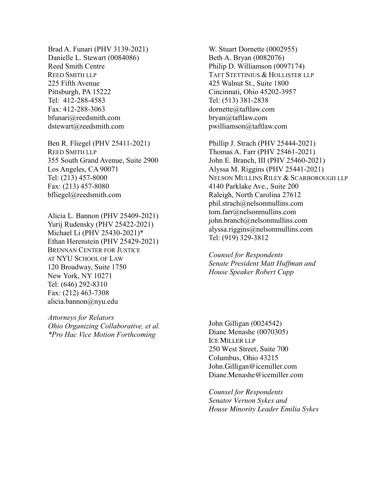Brad A. Funari (PHV 3139-2021) Danielle L. Stewart (0084086) Reed Smith Centre REED SMITH LLP 225 Fifth Avenue Pittsburgh, PA 15222 Tel: 412-288-4583 Fax: 412-288-3063 bfunari@reedsmith.com dstewart@reedsmith.com

Ben R. Fliegel (PHV 25411-2021) REED SMITH LLP 355 South Grand Avenue, Suite 2900 Los Angeles, CA 90071 Tel: (213) 457-8000 Fax: (213) 457-8080 bfliegel@reedsmith.com

Alicia L. Bannon (PHV 25409-2021) Yurij Rudensky (PHV 25422-2021) Michael Li (PHV 25430-2021)\* Ethan Herenstein (PHV 25429-2021) BRENNAN CENTER FOR JUSTICE AT NYU SCHOOL OF LAW 120 Broadway, Suite 1750 New York, NY 10271 Tel: (646) 292-8310 Fax: (212) 463-7308 alicia.bannon@nyu.edu

*Attorneys for Relators Ohio Organizing Collaborative, et al. \*Pro Hac Vice Motion Forthcoming*

W. Stuart Dornette (0002955) Beth A. Bryan (0082076) Philip D. Williamson (0097174) TAFT STETTINIUS & HOLLISTER LLP 425 Walnut St., Suite 1800 Cincinnati, Ohio 45202-3957 Tel: (513) 381-2838 dornette@taftlaw.com bryan@taftlaw.com pwilliamson@taftlaw.com

Phillip J. Strach (PHV 25444-2021) Thomas A. Farr (PHV 25461-2021) John E. Branch, III (PHV 25460-2021) Alyssa M. Riggins (PHV 25441-2021) NELSON MULLINS RILEY & SCARBOROUGH LLP 4140 Parklake Ave., Suite 200 Raleigh, North Carolina 27612 phil.strach@nelsonmullins.com tom.farr@nelsonmullins.com john.branch@nelsonmullins.com alyssa.riggins@nelsonmullins.com Tel: (919) 329-3812

*Counsel for Respondents Senate President Matt Huffman and House Speaker Robert Cupp*

John Gilligan (0024542) Diane Menashe (0070305) ICE MILLER LLP 250 West Street, Suite 700 Columbus, Ohio 43215 John.Gilligan@icemiller.com Diane.Menashe@icemiller.com

*Counsel for Respondents Senator Vernon Sykes and House Minority Leader Emilia Sykes*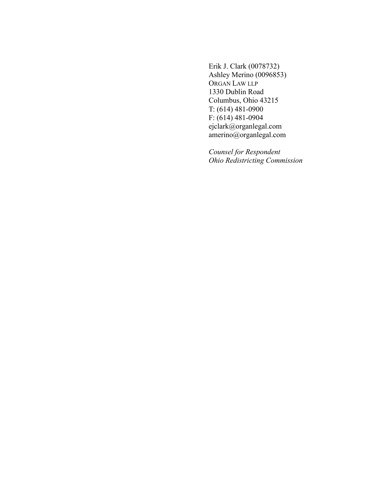Erik J. Clark (0078732) Ashley Merino (0096853) ORGAN LAW LLP 1330 Dublin Road Columbus, Ohio 43215 T: (614) 481-0900 F: (614) 481-0904 ejclark@organlegal.com amerino@organlegal.com

*Counsel for Respondent Ohio Redistricting Commission*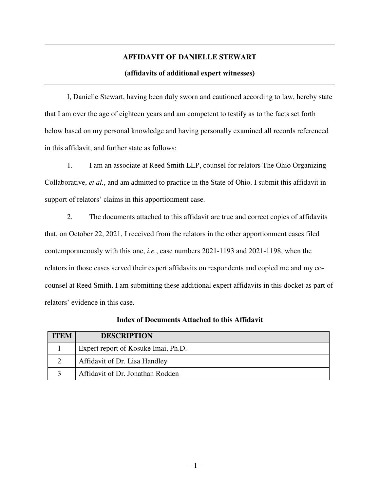# **AFFIDAVIT OF DANIELLE STEWART**

## **(affidavits of additional expert witnesses)**

I, Danielle Stewart, having been duly sworn and cautioned according to law, hereby state that I am over the age of eighteen years and am competent to testify as to the facts set forth below based on my personal knowledge and having personally examined all records referenced in this affidavit, and further state as follows:

1. I am an associate at Reed Smith LLP, counsel for relators The Ohio Organizing Collaborative, *et al.*, and am admitted to practice in the State of Ohio. I submit this affidavit in support of relators' claims in this apportionment case.

2. The documents attached to this affidavit are true and correct copies of affidavits that, on October 22, 2021, I received from the relators in the other apportionment cases filed contemporaneously with this one, *i.e.*, case numbers 2021-1193 and 2021-1198, when the relators in those cases served their expert affidavits on respondents and copied me and my cocounsel at Reed Smith. I am submitting these additional expert affidavits in this docket as part of relators' evidence in this case.

| <b>ITEM</b> | <b>DESCRIPTION</b>                  |
|-------------|-------------------------------------|
|             | Expert report of Kosuke Imai, Ph.D. |
|             | Affidavit of Dr. Lisa Handley       |
|             | Affidavit of Dr. Jonathan Rodden    |

### **Index of Documents Attached to this Affidavit**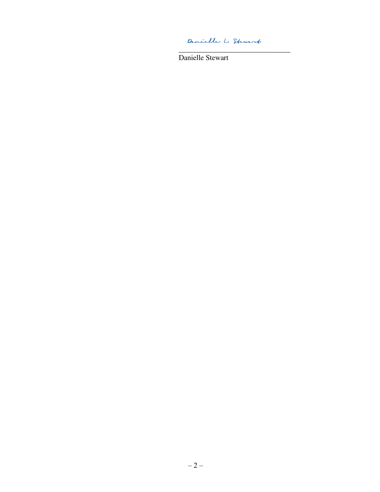Denielle L. Stewart

\_\_\_\_\_\_\_\_\_\_\_\_\_\_\_\_\_\_\_\_\_\_\_\_\_\_\_\_\_\_

Danielle Stewart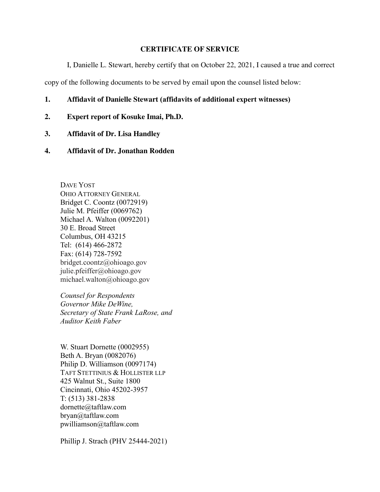# **CERTIFICATE OF SERVICE**

I, Danielle L. Stewart, hereby certify that on October 22, 2021, I caused a true and correct

copy of the following documents to be served by email upon the counsel listed below:

- **1. Affidavit of Danielle Stewart (affidavits of additional expert witnesses)**
- **2. Expert report of Kosuke Imai, Ph.D.**
- **3. Affidavit of Dr. Lisa Handley**
- **4. Affidavit of Dr. Jonathan Rodden**

DAVE YOST OHIO ATTORNEY GENERAL Bridget C. Coontz (0072919) Julie M. Pfeiffer (0069762) Michael A. Walton (0092201) 30 E. Broad Street Columbus, OH 43215 Tel: (614) 466-2872 Fax: (614) 728-7592 bridget.coontz@ohioago.gov julie.pfeiffer@ohioago.gov michael.walton@ohioago.gov

*Counsel for Respondents Governor Mike DeWine, Secretary of State Frank LaRose, and Auditor Keith Faber*

W. Stuart Dornette (0002955) Beth A. Bryan (0082076) Philip D. Williamson (0097174) TAFT STETTINIUS & HOLLISTER LLP 425 Walnut St., Suite 1800 Cincinnati, Ohio 45202-3957 T: (513) 381-2838 dornette@taftlaw.com bryan@taftlaw.com pwilliamson@taftlaw.com

Phillip J. Strach (PHV 25444-2021)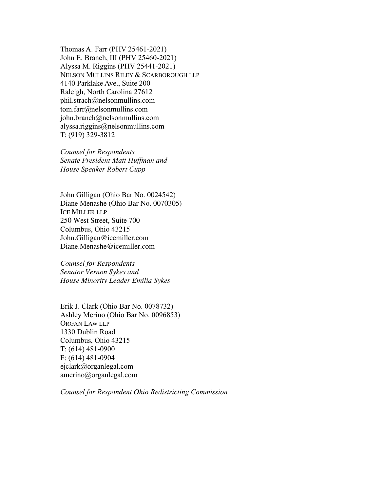Thomas A. Farr (PHV 25461-2021) John E. Branch, III (PHV 25460-2021) Alyssa M. Riggins (PHV 25441-2021) NELSON MULLINS RILEY & SCARBOROUGH LLP 4140 Parklake Ave., Suite 200 Raleigh, North Carolina 27612 phil.strach@nelsonmullins.com tom.farr@nelsonmullins.com john.branch@nelsonmullins.com alyssa.riggins@nelsonmullins.com T: (919) 329-3812

*Counsel for Respondents Senate President Matt Huffman and House Speaker Robert Cupp*

John Gilligan (Ohio Bar No. 0024542) Diane Menashe (Ohio Bar No. 0070305) ICE MILLER LLP 250 West Street, Suite 700 Columbus, Ohio 43215 John.Gilligan@icemiller.com Diane.Menashe@icemiller.com

*Counsel for Respondents Senator Vernon Sykes and House Minority Leader Emilia Sykes* 

Erik J. Clark (Ohio Bar No. 0078732) Ashley Merino (Ohio Bar No. 0096853) ORGAN LAW LLP 1330 Dublin Road Columbus, Ohio 43215 T: (614) 481-0900 F: (614) 481-0904 ejclark@organlegal.com amerino@organlegal.com

*Counsel for Respondent Ohio Redistricting Commission*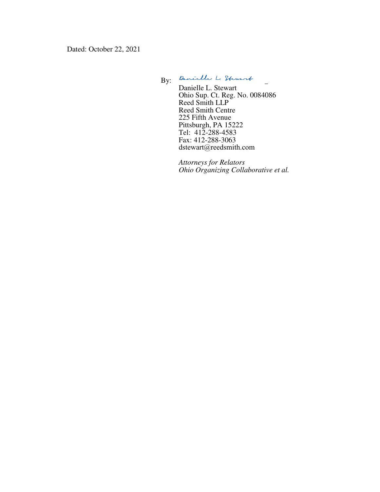Dated: October 22, 2021

By: Quaielle L. Stewart

Danielle L. Stewart Ohio Sup. Ct. Reg. No. 0084086 Reed Smith LLP Reed Smith Centre 225 Fifth Avenue Pittsburgh, PA 15222 Tel: 412-288-4583 Fax: 412-288-3063 dstewart@reedsmith.com

*Attorneys for Relators Ohio Organizing Collaborative et al.*